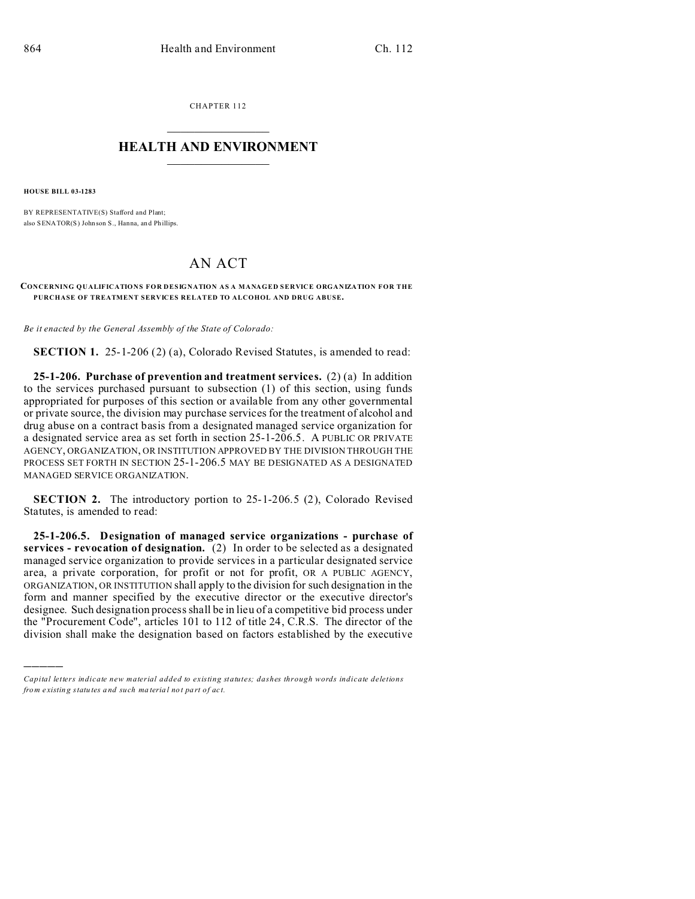CHAPTER 112  $\overline{\phantom{a}}$  , where  $\overline{\phantom{a}}$ 

## **HEALTH AND ENVIRONMENT**  $\_$   $\_$   $\_$   $\_$   $\_$   $\_$   $\_$   $\_$

**HOUSE BILL 03-1283**

)))))

BY REPRESENTATIVE(S) Stafford and Plant; also SENATOR(S) John son S., Hanna, an d Phillips.

## AN ACT

## **CONCERNING QUALIFICATIONS FOR DESIGNATION AS A MANAGED SERVICE ORGANIZATION FOR THE PURCHASE OF TREATMENT SERVICES RELATED TO ALCOHOL AND DRUG ABUSE.**

*Be it enacted by the General Assembly of the State of Colorado:*

**SECTION 1.** 25-1-206 (2) (a), Colorado Revised Statutes, is amended to read:

**25-1-206. Purchase of prevention and treatment services.** (2) (a) In addition to the services purchased pursuant to subsection (1) of this section, using funds appropriated for purposes of this section or available from any other governmental or private source, the division may purchase services for the treatment of alcohol and drug abuse on a contract basis from a designated managed service organization for a designated service area as set forth in section 25-1-206.5. A PUBLIC OR PRIVATE AGENCY, ORGANIZATION, OR INSTITUTION APPROVED BY THE DIVISION THROUGH THE PROCESS SET FORTH IN SECTION 25-1-206.5 MAY BE DESIGNATED AS A DESIGNATED MANAGED SERVICE ORGANIZATION.

**SECTION 2.** The introductory portion to 25-1-206.5 (2), Colorado Revised Statutes, is amended to read:

**25-1-206.5. Designation of managed service organizations - purchase of services - revocation of designation.** (2) In order to be selected as a designated managed service organization to provide services in a particular designated service area, a private corporation, for profit or not for profit, OR A PUBLIC AGENCY, ORGANIZATION, OR INSTITUTION shall apply to the division for such designation in the form and manner specified by the executive director or the executive director's designee. Such designation process shall be in lieu of a competitive bid process under the "Procurement Code", articles 101 to 112 of title 24, C.R.S. The director of the division shall make the designation based on factors established by the executive

*Capital letters indicate new material added to existing statutes; dashes through words indicate deletions from e xistin g statu tes a nd such ma teria l no t pa rt of ac t.*